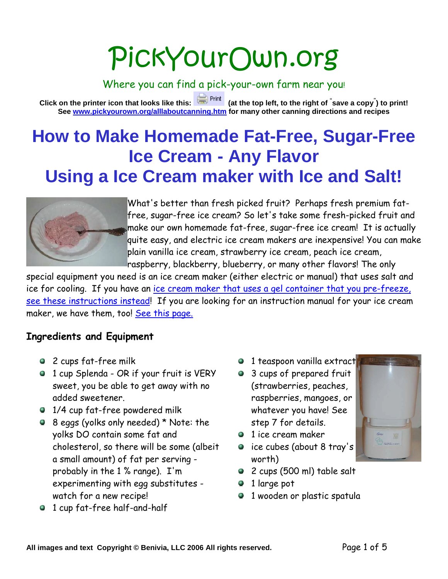# PickYourOwn.org

Where you can find a pick-your-own farm near you!

**Click on the printer icon that looks like this: (at the top left, to the right of " save a copy" ) to print! See www.pickyourown.org/alllaboutcanning.htm for many other canning directions and recipes**

## **How to Make Homemade Fat-Free, Sugar-Free Ice Cream - Any Flavor Using a Ice Cream maker with Ice and Salt!**



What's better than fresh picked fruit? Perhaps fresh premium fatfree, sugar-free ice cream? So let's take some fresh-picked fruit and make our own homemade fat-free, sugar-free ice cream! It is actually quite easy, and electric ice cream makers are inexpensive! You can make plain vanilla ice cream, strawberry ice cream, peach ice cream, raspberry, blackberry, blueberry, or many other flavors! The only

special equipment you need is an ice cream maker (either electric or manual) that uses salt and ice for cooling. If you have an ice cream maker that uses a gel container that you pre-freeze, see these instructions instead! If you are looking for an instruction manual for your ice cream maker, we have them, too! See this page.

#### **Ingredients and Equipment**

- 2 cups fat-free milk
- 1 cup Splenda OR if your fruit is VERY sweet, you be able to get away with no added sweetener.
- 1/4 cup fat-free powdered milk
- 8 eggs (yolks only needed) \* Note: the yolks DO contain some fat and cholesterol, so there will be some (albeit a small amount) of fat per serving probably in the 1 % range). I'm experimenting with egg substitutes watch for a new recipe!
- 1 cup fat-free half-and-half
- <sup>1</sup> 1 teaspoon vanilla extract
- 3 cups of prepared fruit (strawberries, peaches, raspberries, mangoes, or whatever you have! See step 7 for details.
- $\bullet$  1 ice cream maker
- ce cubes (about 8 tray's worth)
- 2 cups (500 ml) table salt
- 1 large pot
- 1 wooden or plastic spatula

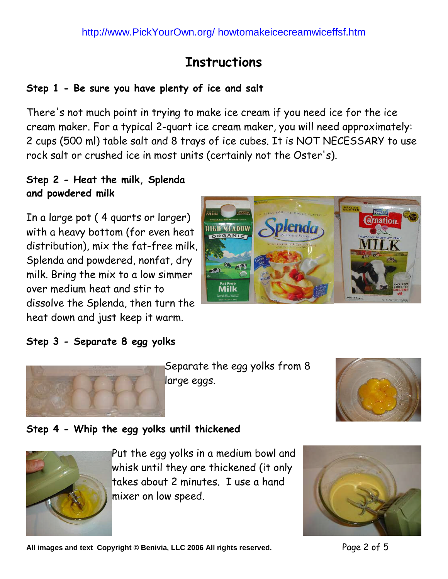### **Instructions**

#### **Step 1 - Be sure you have plenty of ice and salt**

There's not much point in trying to make ice cream if you need ice for the ice cream maker. For a typical 2-quart ice cream maker, you will need approximately: 2 cups (500 ml) table salt and 8 trays of ice cubes. It is NOT NECESSARY to use rock salt or crushed ice in most units (certainly not the Oster's).

#### **Step 2 - Heat the milk, Splenda and powdered milk**

In a large pot ( 4 quarts or larger) with a heavy bottom (for even heat distribution), mix the fat-free milk, Splenda and powdered, nonfat, dry milk. Bring the mix to a low simmer over medium heat and stir to dissolve the Splenda, then turn the heat down and just keep it warm.



#### **Step 3 - Separate 8 egg yolks**



Separate the egg yolks from 8 large eggs.



#### **Step 4 - Whip the egg yolks until thickened**



Put the egg yolks in a medium bowl and whisk until they are thickened (it only takes about 2 minutes. I use a hand mixer on low speed.

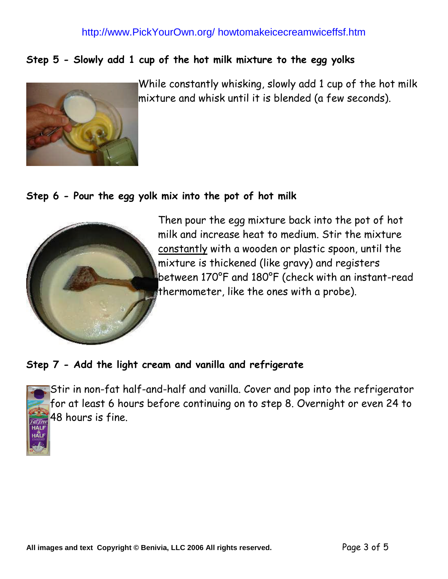#### http://www.PickYourOwn.org/ howtomakeicecreamwiceffsf.htm

#### **Step 5 - Slowly add 1 cup of the hot milk mixture to the egg yolks**



While constantly whisking, slowly add 1 cup of the hot milk mixture and whisk until it is blended (a few seconds).

#### **Step 6 - Pour the egg yolk mix into the pot of hot milk**



Then pour the egg mixture back into the pot of hot milk and increase heat to medium. Stir the mixture constantly with a wooden or plastic spoon, until the mixture is thickened (like gravy) and registers between 170°F and 180°F (check with an instant-read thermometer, like the ones with a probe).

#### **Step 7 - Add the light cream and vanilla and refrigerate**



Stir in non-fat half-and-half and vanilla. Cover and pop into the refrigerator for at least 6 hours before continuing on to step 8. Overnight or even 24 to 48 hours is fine.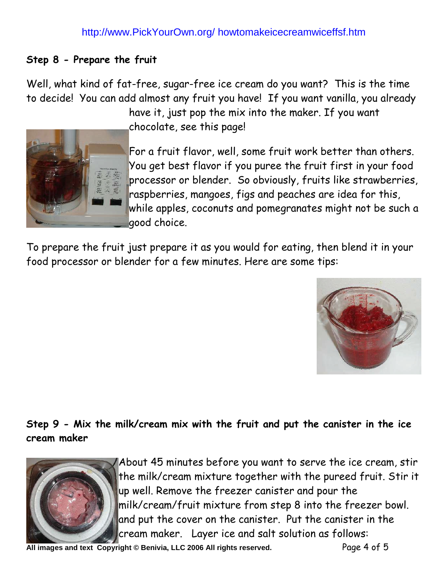#### **Step 8 - Prepare the fruit**

Well, what kind of fat-free, sugar-free ice cream do you want? This is the time to decide! You can add almost any fruit you have! If you want vanilla, you already

> have it, just pop the mix into the maker. If you want chocolate, see this page!



For a fruit flavor, well, some fruit work better than others. You get best flavor if you puree the fruit first in your food processor or blender. So obviously, fruits like strawberries, raspberries, mangoes, figs and peaches are idea for this, while apples, coconuts and pomegranates might not be such a good choice.

To prepare the fruit just prepare it as you would for eating, then blend it in your food processor or blender for a few minutes. Here are some tips:



#### **Step 9 - Mix the milk/cream mix with the fruit and put the canister in the ice cream maker**



About 45 minutes before you want to serve the ice cream, stir the milk/cream mixture together with the pureed fruit. Stir it up well. Remove the freezer canister and pour the milk/cream/fruit mixture from step 8 into the freezer bowl. and put the cover on the canister. Put the canister in the cream maker. Layer ice and salt solution as follows:

All images and text Copyright © Benivia, LLC 2006 All rights reserved. Page 4 of 5